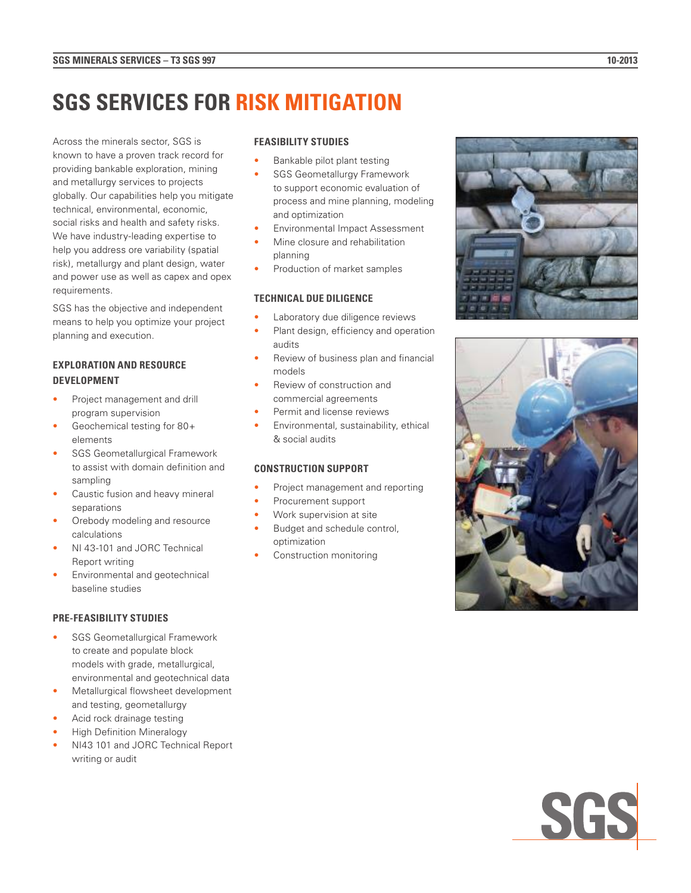# **SGS SERVICES FOR RISK MITIGATION**

Across the minerals sector, SGS is known to have a proven track record for providing bankable exploration, mining and metallurgy services to projects globally. Our capabilities help you mitigate technical, environmental, economic, social risks and health and safety risks. We have industry-leading expertise to help you address ore variability (spatial risk), metallurgy and plant design, water and power use as well as capex and opex requirements.

SGS has the objective and independent means to help you optimize your project planning and execution.

# **EXPLORATION AND RESOURCE DEVELOPMENT**

- Project management and drill program supervision
- Geochemical testing for 80+ elements
- SGS Geometallurgical Framework to assist with domain definition and sampling
- Caustic fusion and heavy mineral separations
- Orebody modeling and resource calculations
- NI 43-101 and JORC Technical Report writing
- Environmental and geotechnical baseline studies

## **PRE-FEASIBILITY STUDIES**

- SGS Geometallurgical Framework to create and populate block models with grade, metallurgical, environmental and geotechnical data
- Metallurgical flowsheet development and testing, geometallurgy
- Acid rock drainage testing
- High Definition Mineralogy
- NI43 101 and JORC Technical Report writing or audit

## **FEASIBILITY STUDIES**

- Bankable pilot plant testing
- SGS Geometallurgy Framework to support economic evaluation of process and mine planning, modeling and optimization
- Environmental Impact Assessment
- Mine closure and rehabilitation planning
- Production of market samples

#### **TECHNICAL DUE DILIGENCE**

- Laboratory due diligence reviews
- Plant design, efficiency and operation audits
- Review of business plan and financial models
- Review of construction and commercial agreements
- Permit and license reviews
- Environmental, sustainability, ethical & social audits

#### **CONSTRUCTION SUPPORT**

- Project management and reporting
- Procurement support
- Work supervision at site
- Budget and schedule control, optimization
- Construction monitoring